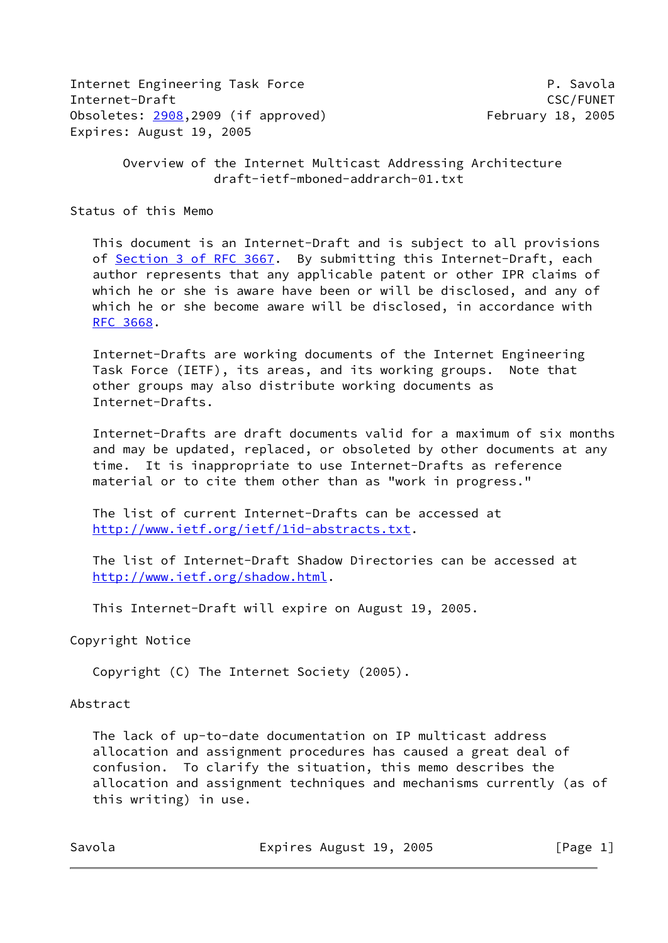Internet Engineering Task Force **P. Savola** Internet-Draft CSC/FUNET Obsoletes: [2908](https://datatracker.ietf.org/doc/pdf/rfc2908),2909 (if approved) February 18, 2005 Expires: August 19, 2005

 Overview of the Internet Multicast Addressing Architecture draft-ietf-mboned-addrarch-01.txt

Status of this Memo

 This document is an Internet-Draft and is subject to all provisions of Section [3 of RFC 3667.](https://datatracker.ietf.org/doc/pdf/rfc3667#section-3) By submitting this Internet-Draft, each author represents that any applicable patent or other IPR claims of which he or she is aware have been or will be disclosed, and any of which he or she become aware will be disclosed, in accordance with [RFC 3668](https://datatracker.ietf.org/doc/pdf/rfc3668).

 Internet-Drafts are working documents of the Internet Engineering Task Force (IETF), its areas, and its working groups. Note that other groups may also distribute working documents as Internet-Drafts.

 Internet-Drafts are draft documents valid for a maximum of six months and may be updated, replaced, or obsoleted by other documents at any time. It is inappropriate to use Internet-Drafts as reference material or to cite them other than as "work in progress."

 The list of current Internet-Drafts can be accessed at <http://www.ietf.org/ietf/1id-abstracts.txt>.

 The list of Internet-Draft Shadow Directories can be accessed at <http://www.ietf.org/shadow.html>.

This Internet-Draft will expire on August 19, 2005.

Copyright Notice

Copyright (C) The Internet Society (2005).

#### Abstract

 The lack of up-to-date documentation on IP multicast address allocation and assignment procedures has caused a great deal of confusion. To clarify the situation, this memo describes the allocation and assignment techniques and mechanisms currently (as of this writing) in use.

Savola **Expires August 19, 2005** [Page 1]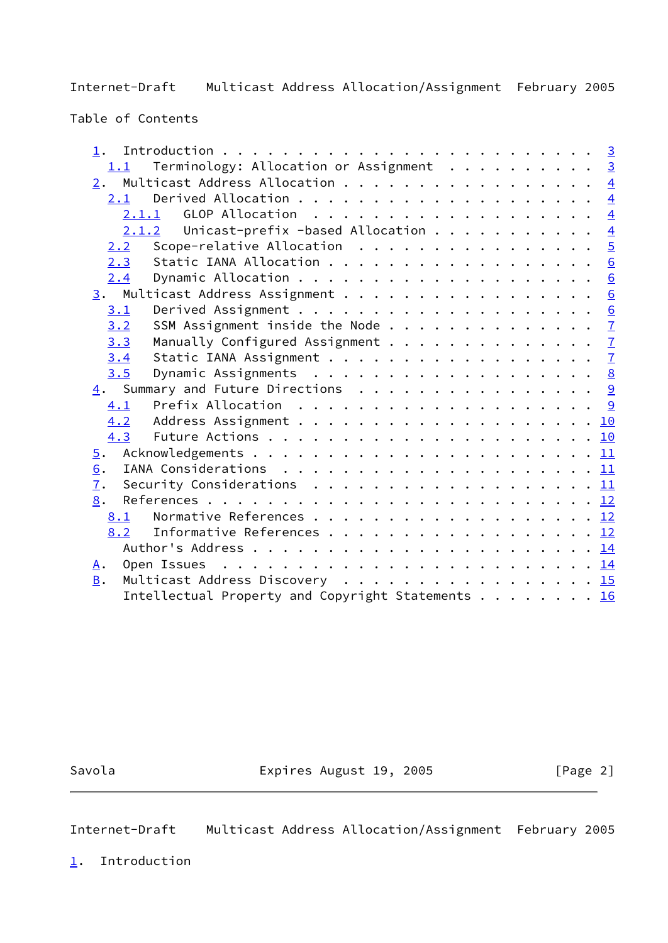Table of Contents

| 1.                                                                                              |  |  |
|-------------------------------------------------------------------------------------------------|--|--|
| Terminology: Allocation or Assignment 3<br>1.1                                                  |  |  |
| $\underline{2}$ . Multicast Address Allocation 4                                                |  |  |
| 2.1                                                                                             |  |  |
| 2.1.1                                                                                           |  |  |
| Unicast-prefix -based Allocation $\frac{4}{5}$<br>2.1.2                                         |  |  |
| Scope-relative Allocation $\ldots \ldots \ldots \ldots \ldots$<br>2.2                           |  |  |
| Static IANA Allocation 6<br>2.3                                                                 |  |  |
| 2.4                                                                                             |  |  |
| 3. Multicast Address Assignment 6                                                               |  |  |
| 3.1                                                                                             |  |  |
| SSM Assignment inside the Node $\frac{7}{2}$<br>3.2                                             |  |  |
| Manually Configured Assignment $\frac{7}{2}$<br>3.3                                             |  |  |
| 3.4                                                                                             |  |  |
| 3.5                                                                                             |  |  |
| 4. Summary and Future Directions 9                                                              |  |  |
| 4.1                                                                                             |  |  |
|                                                                                                 |  |  |
| 4.3                                                                                             |  |  |
| $\overline{5}$ .                                                                                |  |  |
| 6.                                                                                              |  |  |
| 7.<br>Security Considerations $\ldots \ldots \ldots \ldots \ldots \ldots \ldots \underline{11}$ |  |  |
| 8.                                                                                              |  |  |
| 8.1                                                                                             |  |  |
| Informative References 12<br>8.2                                                                |  |  |
|                                                                                                 |  |  |
| <u>A</u> .                                                                                      |  |  |
| Multicast Address Discovery 15<br><b>B</b> .                                                    |  |  |
| Intellectual Property and Copyright Statements 16                                               |  |  |
|                                                                                                 |  |  |

Savola **Expires August 19, 2005** [Page 2]

<span id="page-1-1"></span>Internet-Draft Multicast Address Allocation/Assignment February 2005

<span id="page-1-0"></span>[1](#page-1-0). Introduction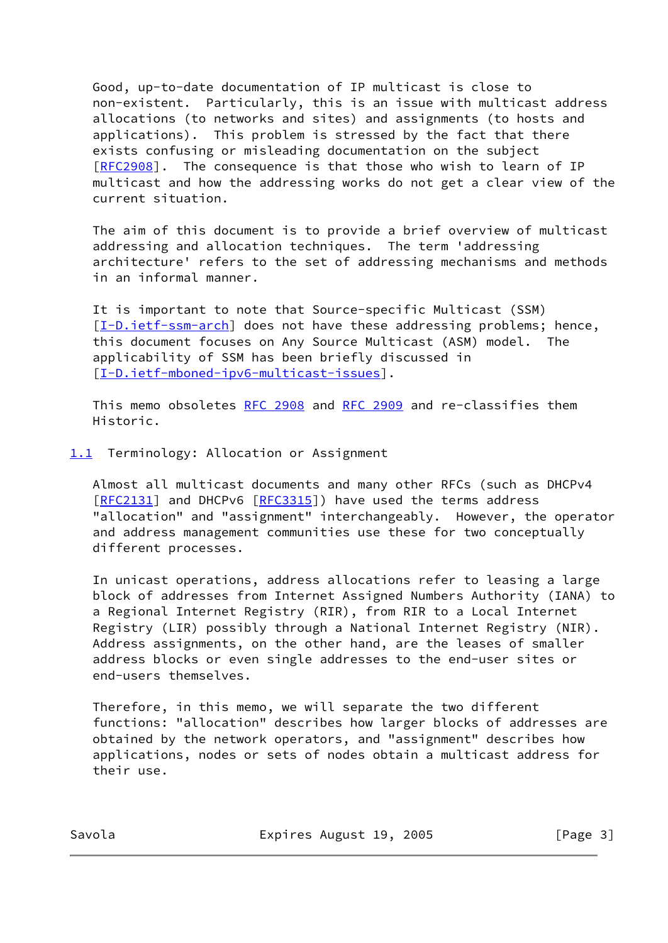Good, up-to-date documentation of IP multicast is close to non-existent. Particularly, this is an issue with multicast address allocations (to networks and sites) and assignments (to hosts and applications). This problem is stressed by the fact that there exists confusing or misleading documentation on the subject [\[RFC2908](https://datatracker.ietf.org/doc/pdf/rfc2908)]. The consequence is that those who wish to learn of IP multicast and how the addressing works do not get a clear view of the current situation.

 The aim of this document is to provide a brief overview of multicast addressing and allocation techniques. The term 'addressing architecture' refers to the set of addressing mechanisms and methods in an informal manner.

 It is important to note that Source-specific Multicast (SSM) [\[I-D.ietf-ssm-arch](#page-12-1)] does not have these addressing problems; hence, this document focuses on Any Source Multicast (ASM) model. The applicability of SSM has been briefly discussed in [\[I-D.ietf-mboned-ipv6-multicast-issues](#page-12-2)].

This memo obsoletes [RFC 2908](https://datatracker.ietf.org/doc/pdf/rfc2908) and [RFC 2909](https://datatracker.ietf.org/doc/pdf/rfc2909) and re-classifies them Historic.

<span id="page-2-0"></span>[1.1](#page-2-0) Terminology: Allocation or Assignment

 Almost all multicast documents and many other RFCs (such as DHCPv4 [\[RFC2131](https://datatracker.ietf.org/doc/pdf/rfc2131)] and DHCPv6 [\[RFC3315](https://datatracker.ietf.org/doc/pdf/rfc3315)]) have used the terms address "allocation" and "assignment" interchangeably. However, the operator and address management communities use these for two conceptually different processes.

 In unicast operations, address allocations refer to leasing a large block of addresses from Internet Assigned Numbers Authority (IANA) to a Regional Internet Registry (RIR), from RIR to a Local Internet Registry (LIR) possibly through a National Internet Registry (NIR). Address assignments, on the other hand, are the leases of smaller address blocks or even single addresses to the end-user sites or end-users themselves.

 Therefore, in this memo, we will separate the two different functions: "allocation" describes how larger blocks of addresses are obtained by the network operators, and "assignment" describes how applications, nodes or sets of nodes obtain a multicast address for their use.

Savola **Expires August 19, 2005** [Page 3]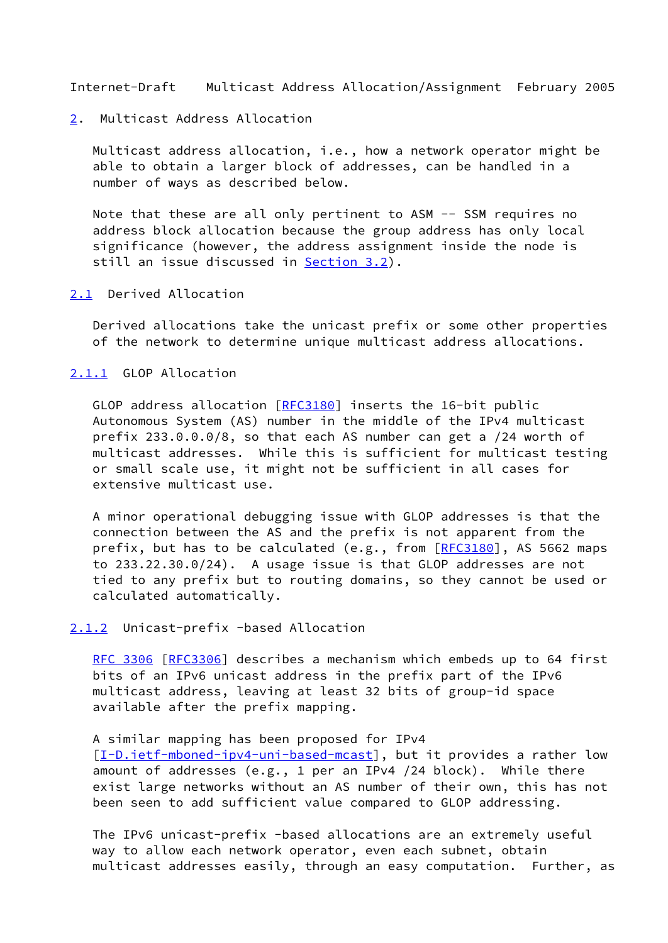#### <span id="page-3-1"></span><span id="page-3-0"></span>[2](#page-3-0). Multicast Address Allocation

 Multicast address allocation, i.e., how a network operator might be able to obtain a larger block of addresses, can be handled in a number of ways as described below.

 Note that these are all only pertinent to ASM -- SSM requires no address block allocation because the group address has only local significance (however, the address assignment inside the node is still an issue discussed in [Section 3.2\)](#page-6-1).

#### <span id="page-3-2"></span>[2.1](#page-3-2) Derived Allocation

 Derived allocations take the unicast prefix or some other properties of the network to determine unique multicast address allocations.

# <span id="page-3-3"></span>[2.1.1](#page-3-3) GLOP Allocation

GLOP address allocation [\[RFC3180](https://datatracker.ietf.org/doc/pdf/rfc3180)] inserts the 16-bit public Autonomous System (AS) number in the middle of the IPv4 multicast prefix 233.0.0.0/8, so that each AS number can get a /24 worth of multicast addresses. While this is sufficient for multicast testing or small scale use, it might not be sufficient in all cases for extensive multicast use.

 A minor operational debugging issue with GLOP addresses is that the connection between the AS and the prefix is not apparent from the prefix, but has to be calculated (e.g., from  $[REC3180]$ , AS 5662 maps to 233.22.30.0/24). A usage issue is that GLOP addresses are not tied to any prefix but to routing domains, so they cannot be used or calculated automatically.

### <span id="page-3-4"></span>[2.1.2](#page-3-4) Unicast-prefix -based Allocation

 [RFC 3306](https://datatracker.ietf.org/doc/pdf/rfc3306) [\[RFC3306](https://datatracker.ietf.org/doc/pdf/rfc3306)] describes a mechanism which embeds up to 64 first bits of an IPv6 unicast address in the prefix part of the IPv6 multicast address, leaving at least 32 bits of group-id space available after the prefix mapping.

#### A similar mapping has been proposed for IPv4

[\[I-D.ietf-mboned-ipv4-uni-based-mcast](#page-12-3)], but it provides a rather low amount of addresses (e.g., 1 per an IPv4 /24 block). While there exist large networks without an AS number of their own, this has not been seen to add sufficient value compared to GLOP addressing.

 The IPv6 unicast-prefix -based allocations are an extremely useful way to allow each network operator, even each subnet, obtain multicast addresses easily, through an easy computation. Further, as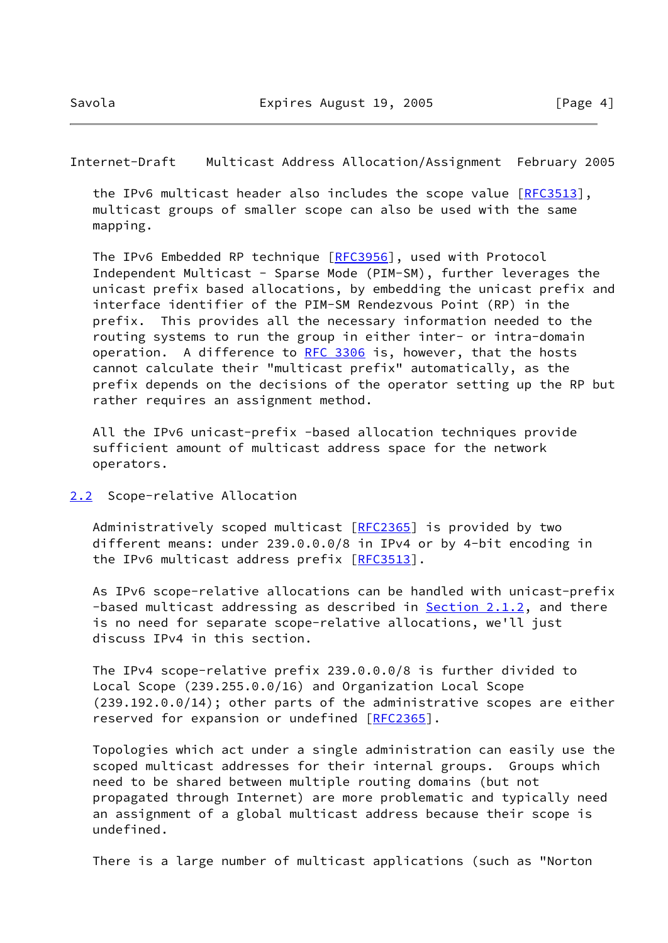<span id="page-4-1"></span> the IPv6 multicast header also includes the scope value [\[RFC3513](https://datatracker.ietf.org/doc/pdf/rfc3513)], multicast groups of smaller scope can also be used with the same mapping.

The IPv6 Embedded RP technique [\[RFC3956](https://datatracker.ietf.org/doc/pdf/rfc3956)], used with Protocol Independent Multicast - Sparse Mode (PIM-SM), further leverages the unicast prefix based allocations, by embedding the unicast prefix and interface identifier of the PIM-SM Rendezvous Point (RP) in the prefix. This provides all the necessary information needed to the routing systems to run the group in either inter- or intra-domain operation. A difference to [RFC 3306](https://datatracker.ietf.org/doc/pdf/rfc3306) is, however, that the hosts cannot calculate their "multicast prefix" automatically, as the prefix depends on the decisions of the operator setting up the RP but rather requires an assignment method.

 All the IPv6 unicast-prefix -based allocation techniques provide sufficient amount of multicast address space for the network operators.

<span id="page-4-0"></span>[2.2](#page-4-0) Scope-relative Allocation

Administratively scoped multicast [[RFC2365](https://datatracker.ietf.org/doc/pdf/rfc2365)] is provided by two different means: under 239.0.0.0/8 in IPv4 or by 4-bit encoding in the IPv6 multicast address prefix [[RFC3513](https://datatracker.ietf.org/doc/pdf/rfc3513)].

 As IPv6 scope-relative allocations can be handled with unicast-prefix -based multicast addressing as described in [Section 2.1.2,](#page-3-4) and there is no need for separate scope-relative allocations, we'll just discuss IPv4 in this section.

 The IPv4 scope-relative prefix 239.0.0.0/8 is further divided to Local Scope (239.255.0.0/16) and Organization Local Scope (239.192.0.0/14); other parts of the administrative scopes are either reserved for expansion or undefined [\[RFC2365](https://datatracker.ietf.org/doc/pdf/rfc2365)].

 Topologies which act under a single administration can easily use the scoped multicast addresses for their internal groups. Groups which need to be shared between multiple routing domains (but not propagated through Internet) are more problematic and typically need an assignment of a global multicast address because their scope is undefined.

There is a large number of multicast applications (such as "Norton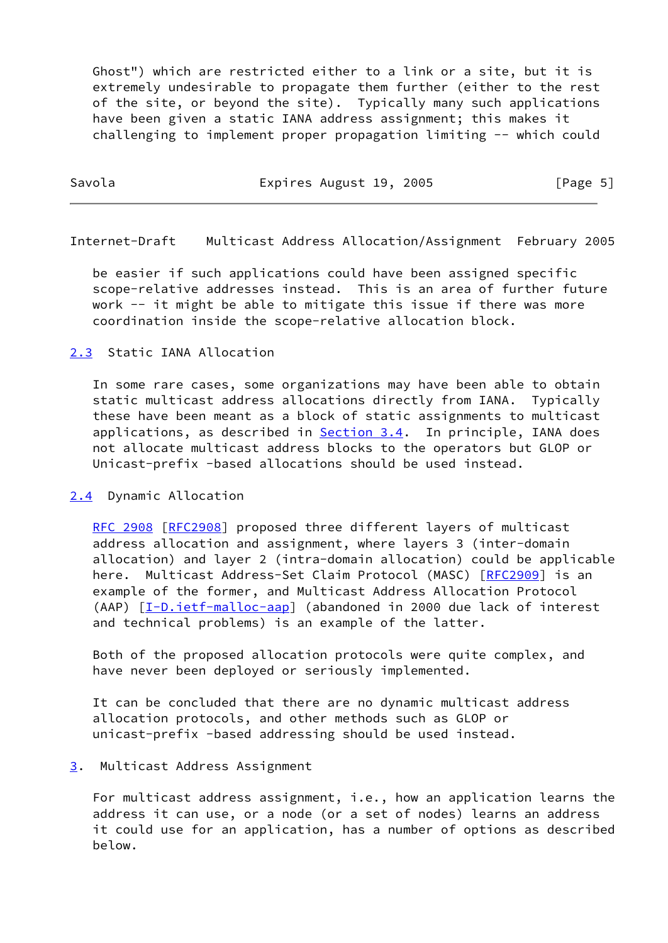Ghost") which are restricted either to a link or a site, but it is extremely undesirable to propagate them further (either to the rest of the site, or beyond the site). Typically many such applications have been given a static IANA address assignment; this makes it challenging to implement proper propagation limiting -- which could

| Savola | Expires August 19, 2005 | [Page 5] |
|--------|-------------------------|----------|
|        |                         |          |

<span id="page-5-1"></span>Internet-Draft Multicast Address Allocation/Assignment February 2005

 be easier if such applications could have been assigned specific scope-relative addresses instead. This is an area of further future work -- it might be able to mitigate this issue if there was more coordination inside the scope-relative allocation block.

## <span id="page-5-0"></span>[2.3](#page-5-0) Static IANA Allocation

 In some rare cases, some organizations may have been able to obtain static multicast address allocations directly from IANA. Typically these have been meant as a block of static assignments to multicast applications, as described in [Section 3.4](#page-7-0). In principle, IANA does not allocate multicast address blocks to the operators but GLOP or Unicast-prefix -based allocations should be used instead.

#### <span id="page-5-2"></span>[2.4](#page-5-2) Dynamic Allocation

[RFC 2908](https://datatracker.ietf.org/doc/pdf/rfc2908) [\[RFC2908](https://datatracker.ietf.org/doc/pdf/rfc2908)] proposed three different layers of multicast address allocation and assignment, where layers 3 (inter-domain allocation) and layer 2 (intra-domain allocation) could be applicable here. Multicast Address-Set Claim Protocol (MASC) [[RFC2909\]](https://datatracker.ietf.org/doc/pdf/rfc2909) is an example of the former, and Multicast Address Allocation Protocol (AAP) [[I-D.ietf-malloc-aap](#page-12-4)] (abandoned in 2000 due lack of interest and technical problems) is an example of the latter.

 Both of the proposed allocation protocols were quite complex, and have never been deployed or seriously implemented.

 It can be concluded that there are no dynamic multicast address allocation protocols, and other methods such as GLOP or unicast-prefix -based addressing should be used instead.

#### <span id="page-5-3"></span>[3](#page-5-3). Multicast Address Assignment

 For multicast address assignment, i.e., how an application learns the address it can use, or a node (or a set of nodes) learns an address it could use for an application, has a number of options as described below.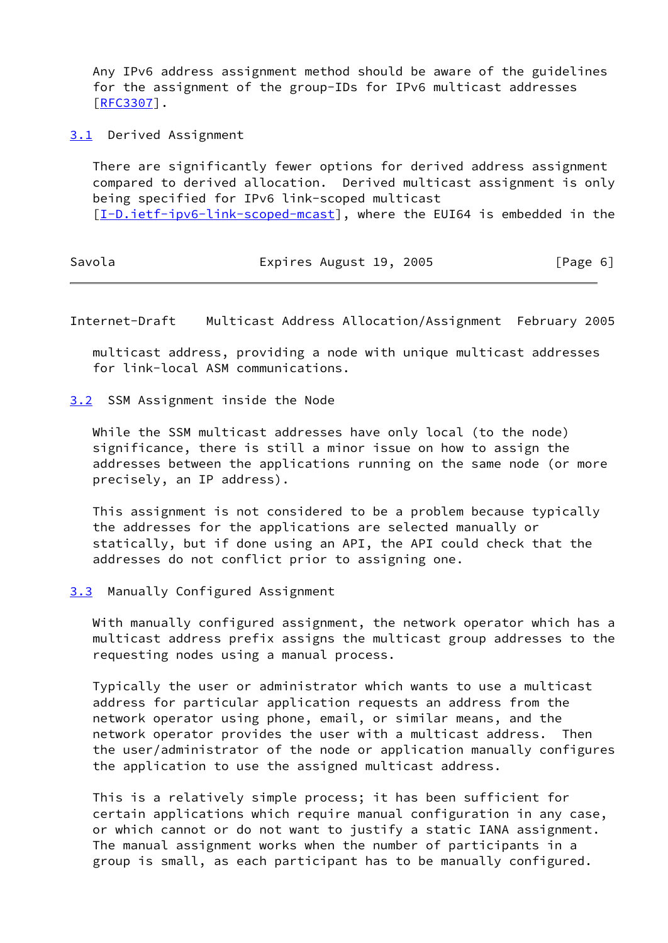Any IPv6 address assignment method should be aware of the guidelines for the assignment of the group-IDs for IPv6 multicast addresses [\[RFC3307](https://datatracker.ietf.org/doc/pdf/rfc3307)].

<span id="page-6-0"></span>[3.1](#page-6-0) Derived Assignment

 There are significantly fewer options for derived address assignment compared to derived allocation. Derived multicast assignment is only being specified for IPv6 link-scoped multicast [\[I-D.ietf-ipv6-link-scoped-mcast](#page-11-5)], where the EUI64 is embedded in the

| [Page 6] |
|----------|
|          |

<span id="page-6-2"></span>Internet-Draft Multicast Address Allocation/Assignment February 2005

 multicast address, providing a node with unique multicast addresses for link-local ASM communications.

<span id="page-6-1"></span>[3.2](#page-6-1) SSM Assignment inside the Node

 While the SSM multicast addresses have only local (to the node) significance, there is still a minor issue on how to assign the addresses between the applications running on the same node (or more precisely, an IP address).

 This assignment is not considered to be a problem because typically the addresses for the applications are selected manually or statically, but if done using an API, the API could check that the addresses do not conflict prior to assigning one.

<span id="page-6-3"></span>[3.3](#page-6-3) Manually Configured Assignment

 With manually configured assignment, the network operator which has a multicast address prefix assigns the multicast group addresses to the requesting nodes using a manual process.

 Typically the user or administrator which wants to use a multicast address for particular application requests an address from the network operator using phone, email, or similar means, and the network operator provides the user with a multicast address. Then the user/administrator of the node or application manually configures the application to use the assigned multicast address.

 This is a relatively simple process; it has been sufficient for certain applications which require manual configuration in any case, or which cannot or do not want to justify a static IANA assignment. The manual assignment works when the number of participants in a group is small, as each participant has to be manually configured.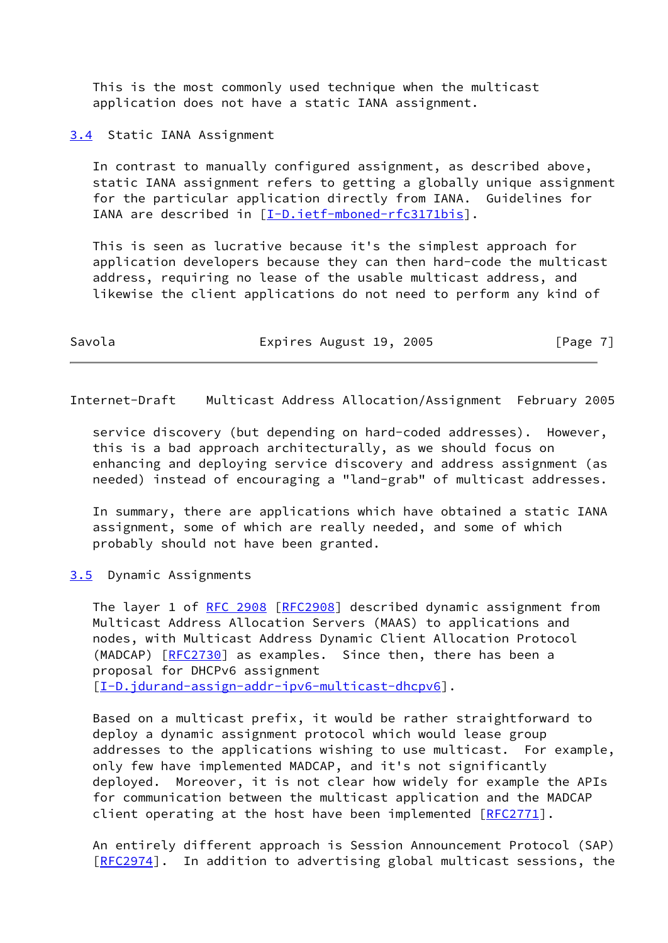This is the most commonly used technique when the multicast application does not have a static IANA assignment.

<span id="page-7-0"></span>[3.4](#page-7-0) Static IANA Assignment

 In contrast to manually configured assignment, as described above, static IANA assignment refers to getting a globally unique assignment for the particular application directly from IANA. Guidelines for IANA are described in [[I-D.ietf-mboned-rfc3171bis\]](#page-11-6).

 This is seen as lucrative because it's the simplest approach for application developers because they can then hard-code the multicast address, requiring no lease of the usable multicast address, and likewise the client applications do not need to perform any kind of

| Savola | Expires August 19, 2005 | [Page 7] |
|--------|-------------------------|----------|
|--------|-------------------------|----------|

<span id="page-7-2"></span>Internet-Draft Multicast Address Allocation/Assignment February 2005

 service discovery (but depending on hard-coded addresses). However, this is a bad approach architecturally, as we should focus on enhancing and deploying service discovery and address assignment (as needed) instead of encouraging a "land-grab" of multicast addresses.

 In summary, there are applications which have obtained a static IANA assignment, some of which are really needed, and some of which probably should not have been granted.

<span id="page-7-1"></span>[3.5](#page-7-1) Dynamic Assignments

 The layer 1 of [RFC 2908 \[RFC2908](https://datatracker.ietf.org/doc/pdf/rfc2908)] described dynamic assignment from Multicast Address Allocation Servers (MAAS) to applications and nodes, with Multicast Address Dynamic Client Allocation Protocol (MADCAP) [\[RFC2730](https://datatracker.ietf.org/doc/pdf/rfc2730)] as examples. Since then, there has been a proposal for DHCPv6 assignment [\[I-D.jdurand-assign-addr-ipv6-multicast-dhcpv6](#page-13-1)].

 Based on a multicast prefix, it would be rather straightforward to deploy a dynamic assignment protocol which would lease group addresses to the applications wishing to use multicast. For example, only few have implemented MADCAP, and it's not significantly deployed. Moreover, it is not clear how widely for example the APIs for communication between the multicast application and the MADCAP client operating at the host have been implemented [[RFC2771\]](https://datatracker.ietf.org/doc/pdf/rfc2771).

 An entirely different approach is Session Announcement Protocol (SAP) [\[RFC2974](https://datatracker.ietf.org/doc/pdf/rfc2974)]. In addition to advertising global multicast sessions, the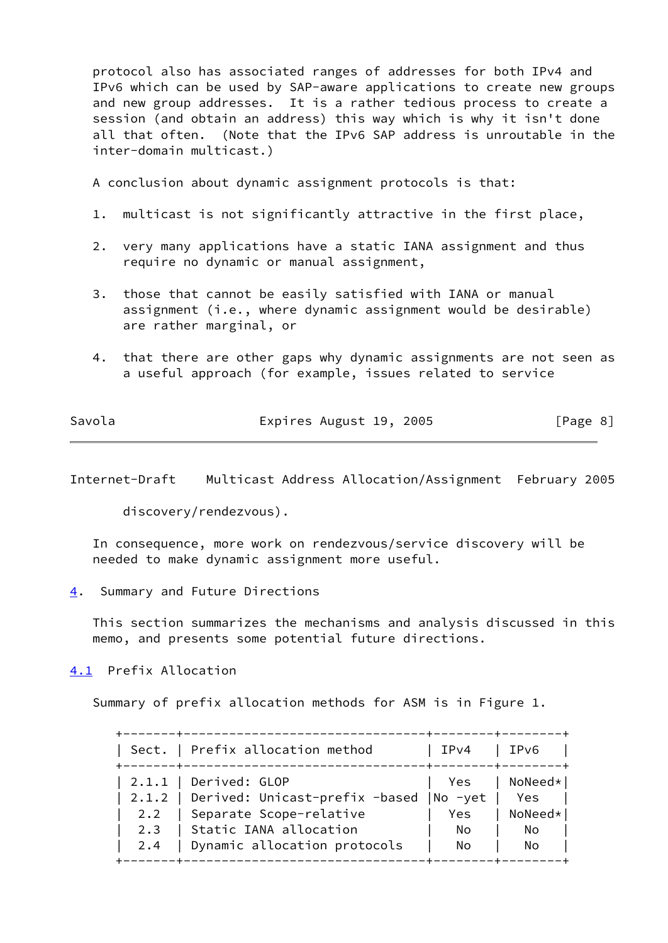protocol also has associated ranges of addresses for both IPv4 and IPv6 which can be used by SAP-aware applications to create new groups and new group addresses. It is a rather tedious process to create a session (and obtain an address) this way which is why it isn't done all that often. (Note that the IPv6 SAP address is unroutable in the inter-domain multicast.)

A conclusion about dynamic assignment protocols is that:

- 1. multicast is not significantly attractive in the first place,
- 2. very many applications have a static IANA assignment and thus require no dynamic or manual assignment,
- 3. those that cannot be easily satisfied with IANA or manual assignment (i.e., where dynamic assignment would be desirable) are rather marginal, or
- 4. that there are other gaps why dynamic assignments are not seen as a useful approach (for example, issues related to service

| Savola | Expires August 19, 2005 | [Page 8] |
|--------|-------------------------|----------|
|        |                         |          |

<span id="page-8-1"></span>Internet-Draft Multicast Address Allocation/Assignment February 2005

discovery/rendezvous).

 In consequence, more work on rendezvous/service discovery will be needed to make dynamic assignment more useful.

<span id="page-8-0"></span>[4](#page-8-0). Summary and Future Directions

 This section summarizes the mechanisms and analysis discussed in this memo, and presents some potential future directions.

<span id="page-8-2"></span>[4.1](#page-8-2) Prefix Allocation

Summary of prefix allocation methods for ASM is in Figure 1.

|     | Sect.   Prefix allocation method                | IPv4 | IPv6            |
|-----|-------------------------------------------------|------|-----------------|
|     | $\vert$ 2.1.1   Derived: GLOP                   | Yes  | $ $ NoNeed $* $ |
|     | 2.1.2   Derived: Unicast-prefix -based  No -yet |      | Yes             |
|     | 2.2   Separate Scope-relative                   | Yes  | NoNeed*         |
|     | 2.3   Static IANA allocation                    | No.  | No              |
| 2.4 | Dynamic allocation protocols                    | No.  | No              |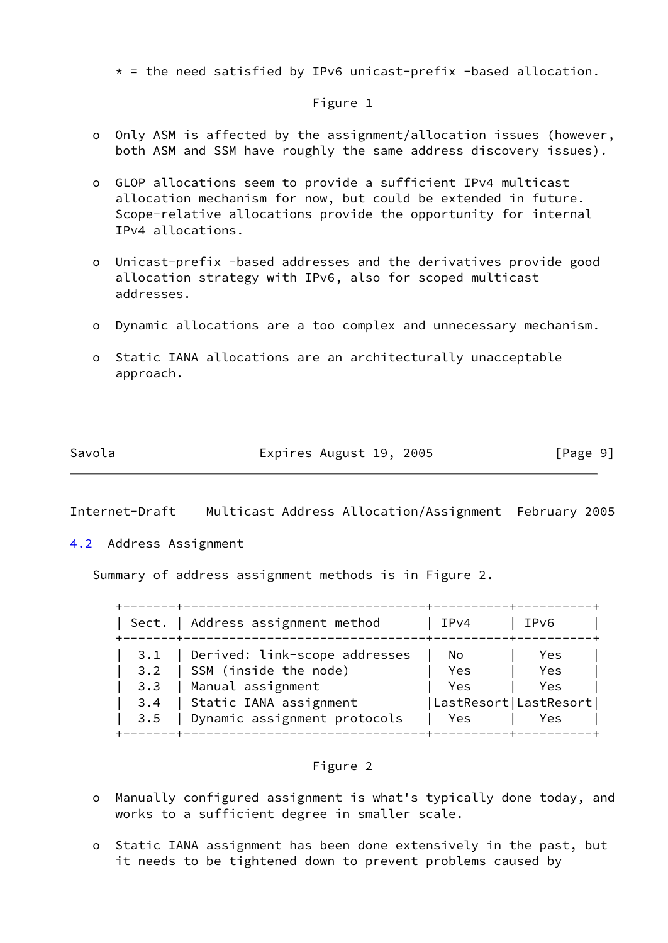$*$  = the need satisfied by IPv6 unicast-prefix -based allocation.

#### Figure 1

- o Only ASM is affected by the assignment/allocation issues (however, both ASM and SSM have roughly the same address discovery issues).
- o GLOP allocations seem to provide a sufficient IPv4 multicast allocation mechanism for now, but could be extended in future. Scope-relative allocations provide the opportunity for internal IPv4 allocations.
- o Unicast-prefix -based addresses and the derivatives provide good allocation strategy with IPv6, also for scoped multicast addresses.
- o Dynamic allocations are a too complex and unnecessary mechanism.
- o Static IANA allocations are an architecturally unacceptable approach.

| Expires August 19, 2005<br>Savola | [Page 9] |  |
|-----------------------------------|----------|--|
|-----------------------------------|----------|--|

<span id="page-9-1"></span>Internet-Draft Multicast Address Allocation/Assignment February 2005

<span id="page-9-0"></span>[4.2](#page-9-0) Address Assignment

Summary of address assignment methods is in Figure 2.

|     | Sect.   Address assignment method | IPv4                    | IPv6 |
|-----|-----------------------------------|-------------------------|------|
| 3.1 | Derived: link-scope addresses     | Nο                      | Yes  |
| 3.2 | SSM (inside the node)             | Yes                     | Yes  |
| 3.3 | Manual assignment                 | Yes                     | Yes  |
| 3.4 | Static IANA assignment            | LastResort   LastResort |      |
| 3.5 | Dynamic assignment protocols      | Yes.                    | Yes  |

### Figure 2

- o Manually configured assignment is what's typically done today, and works to a sufficient degree in smaller scale.
- o Static IANA assignment has been done extensively in the past, but it needs to be tightened down to prevent problems caused by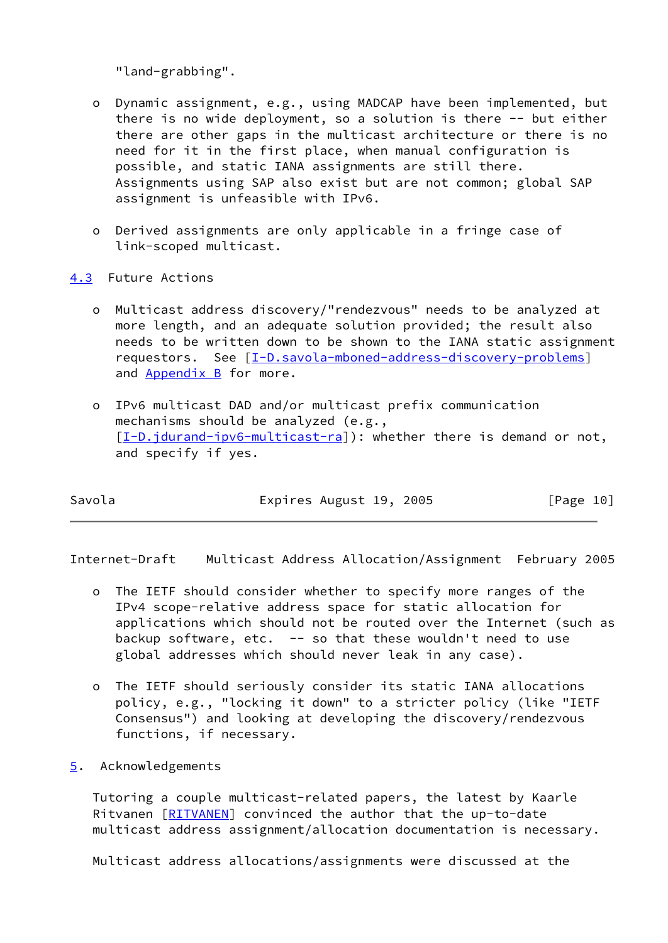"land-grabbing".

- o Dynamic assignment, e.g., using MADCAP have been implemented, but there is no wide deployment, so a solution is there -- but either there are other gaps in the multicast architecture or there is no need for it in the first place, when manual configuration is possible, and static IANA assignments are still there. Assignments using SAP also exist but are not common; global SAP assignment is unfeasible with IPv6.
- o Derived assignments are only applicable in a fringe case of link-scoped multicast.
- <span id="page-10-0"></span>[4.3](#page-10-0) Future Actions
	- o Multicast address discovery/"rendezvous" needs to be analyzed at more length, and an adequate solution provided; the result also needs to be written down to be shown to the IANA static assignment requestors. See [\[I-D.savola-mboned-address-discovery-problems](#page-13-2)] and [Appendix B](#page-14-1) for more.
	- o IPv6 multicast DAD and/or multicast prefix communication mechanisms should be analyzed (e.g., [[I-D.jdurand-ipv6-multicast-ra\]](#page-13-3)): whether there is demand or not, and specify if yes.

| Savola | Expires August 19, 2005 | [Page 10] |
|--------|-------------------------|-----------|

<span id="page-10-2"></span>Internet-Draft Multicast Address Allocation/Assignment February 2005

- o The IETF should consider whether to specify more ranges of the IPv4 scope-relative address space for static allocation for applications which should not be routed over the Internet (such as backup software, etc.  $-$  so that these wouldn't need to use global addresses which should never leak in any case).
- o The IETF should seriously consider its static IANA allocations policy, e.g., "locking it down" to a stricter policy (like "IETF Consensus") and looking at developing the discovery/rendezvous functions, if necessary.
- <span id="page-10-1"></span>[5](#page-10-1). Acknowledgements

 Tutoring a couple multicast-related papers, the latest by Kaarle Ritvanen [\[RITVANEN](#page-14-3)] convinced the author that the up-to-date multicast address assignment/allocation documentation is necessary.

Multicast address allocations/assignments were discussed at the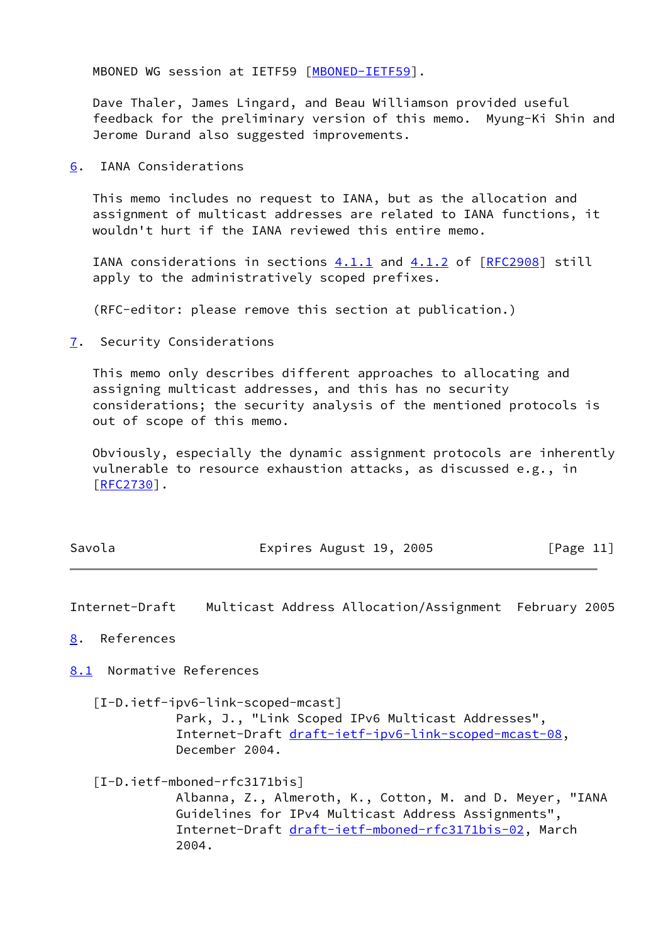MBONED WG session at IETF59 [\[MBONED-IETF59](#page-13-4)].

 Dave Thaler, James Lingard, and Beau Williamson provided useful feedback for the preliminary version of this memo. Myung-Ki Shin and Jerome Durand also suggested improvements.

<span id="page-11-0"></span>[6](#page-11-0). IANA Considerations

 This memo includes no request to IANA, but as the allocation and assignment of multicast addresses are related to IANA functions, it wouldn't hurt if the IANA reviewed this entire memo.

IANA considerations in sections  $4.1.1$  and  $4.1.2$  of  $[RFC2908]$  $[RFC2908]$  still apply to the administratively scoped prefixes.

(RFC-editor: please remove this section at publication.)

<span id="page-11-1"></span>[7](#page-11-1). Security Considerations

 This memo only describes different approaches to allocating and assigning multicast addresses, and this has no security considerations; the security analysis of the mentioned protocols is out of scope of this memo.

 Obviously, especially the dynamic assignment protocols are inherently vulnerable to resource exhaustion attacks, as discussed e.g., in [\[RFC2730](https://datatracker.ietf.org/doc/pdf/rfc2730)].

| Savola | Expires August 19, 2005 |  |  |  | [Page 11] |  |
|--------|-------------------------|--|--|--|-----------|--|
|--------|-------------------------|--|--|--|-----------|--|

<span id="page-11-3"></span>Internet-Draft Multicast Address Allocation/Assignment February 2005

<span id="page-11-2"></span>[8](#page-11-2). References

<span id="page-11-4"></span>[8.1](#page-11-4) Normative References

<span id="page-11-5"></span>[I-D.ietf-ipv6-link-scoped-mcast]

 Park, J., "Link Scoped IPv6 Multicast Addresses", Internet-Draft [draft-ietf-ipv6-link-scoped-mcast-08](https://datatracker.ietf.org/doc/pdf/draft-ietf-ipv6-link-scoped-mcast-08), December 2004.

<span id="page-11-6"></span>[I-D.ietf-mboned-rfc3171bis]

 Albanna, Z., Almeroth, K., Cotton, M. and D. Meyer, "IANA Guidelines for IPv4 Multicast Address Assignments", Internet-Draft [draft-ietf-mboned-rfc3171bis-02](https://datatracker.ietf.org/doc/pdf/draft-ietf-mboned-rfc3171bis-02), March 2004.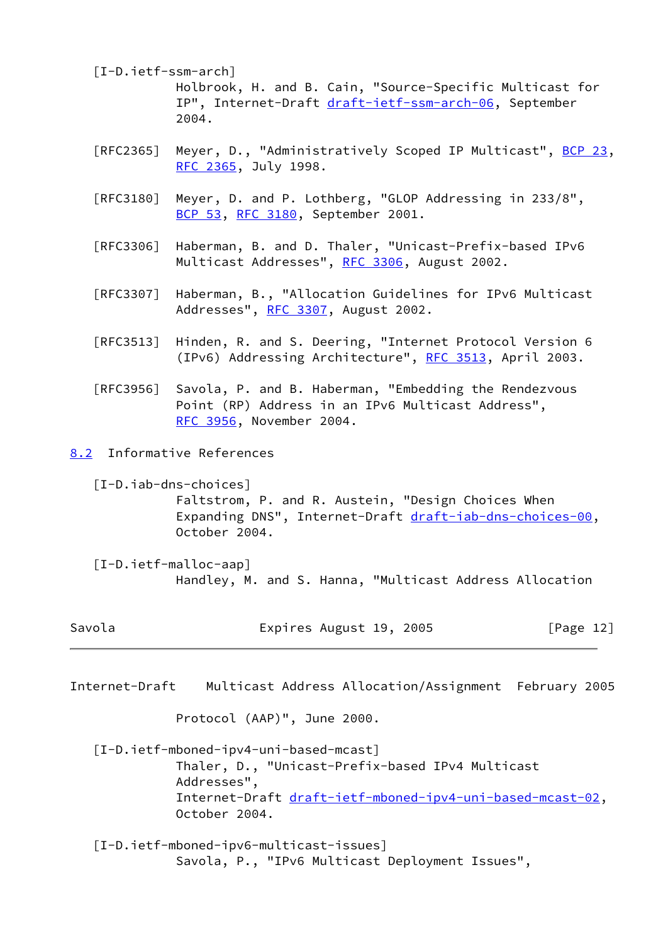- <span id="page-12-1"></span> [I-D.ietf-ssm-arch] Holbrook, H. and B. Cain, "Source-Specific Multicast for IP", Internet-Draft [draft-ietf-ssm-arch-06](https://datatracker.ietf.org/doc/pdf/draft-ietf-ssm-arch-06), September 2004.
- [RFC2365] Meyer, D., "Administratively Scoped IP Multicast", [BCP 23](https://datatracker.ietf.org/doc/pdf/bcp23), [RFC 2365,](https://datatracker.ietf.org/doc/pdf/rfc2365) July 1998.
- [RFC3180] Meyer, D. and P. Lothberg, "GLOP Addressing in 233/8", [BCP 53](https://datatracker.ietf.org/doc/pdf/bcp53), [RFC 3180,](https://datatracker.ietf.org/doc/pdf/rfc3180) September 2001.
- [RFC3306] Haberman, B. and D. Thaler, "Unicast-Prefix-based IPv6 Multicast Addresses", [RFC 3306](https://datatracker.ietf.org/doc/pdf/rfc3306), August 2002.
- [RFC3307] Haberman, B., "Allocation Guidelines for IPv6 Multicast Addresses", [RFC 3307,](https://datatracker.ietf.org/doc/pdf/rfc3307) August 2002.
- [RFC3513] Hinden, R. and S. Deering, "Internet Protocol Version 6 (IPv6) Addressing Architecture", [RFC 3513,](https://datatracker.ietf.org/doc/pdf/rfc3513) April 2003.
- [RFC3956] Savola, P. and B. Haberman, "Embedding the Rendezvous Point (RP) Address in an IPv6 Multicast Address", [RFC 3956,](https://datatracker.ietf.org/doc/pdf/rfc3956) November 2004.
- <span id="page-12-5"></span><span id="page-12-0"></span>[8.2](#page-12-0) Informative References
	- [I-D.iab-dns-choices] Faltstrom, P. and R. Austein, "Design Choices When Expanding DNS", Internet-Draft [draft-iab-dns-choices-00](https://datatracker.ietf.org/doc/pdf/draft-iab-dns-choices-00), October 2004.
	- [I-D.ietf-malloc-aap] Handley, M. and S. Hanna, "Multicast Address Allocation

<span id="page-12-4"></span>

| Savola | Expires August 19, 2005 | [Page 12] |
|--------|-------------------------|-----------|
|--------|-------------------------|-----------|

Protocol (AAP)", June 2000.

- <span id="page-12-3"></span> [I-D.ietf-mboned-ipv4-uni-based-mcast] Thaler, D., "Unicast-Prefix-based IPv4 Multicast Addresses", Internet-Draft [draft-ietf-mboned-ipv4-uni-based-mcast-02,](https://datatracker.ietf.org/doc/pdf/draft-ietf-mboned-ipv4-uni-based-mcast-02) October 2004.
- <span id="page-12-2"></span> [I-D.ietf-mboned-ipv6-multicast-issues] Savola, P., "IPv6 Multicast Deployment Issues",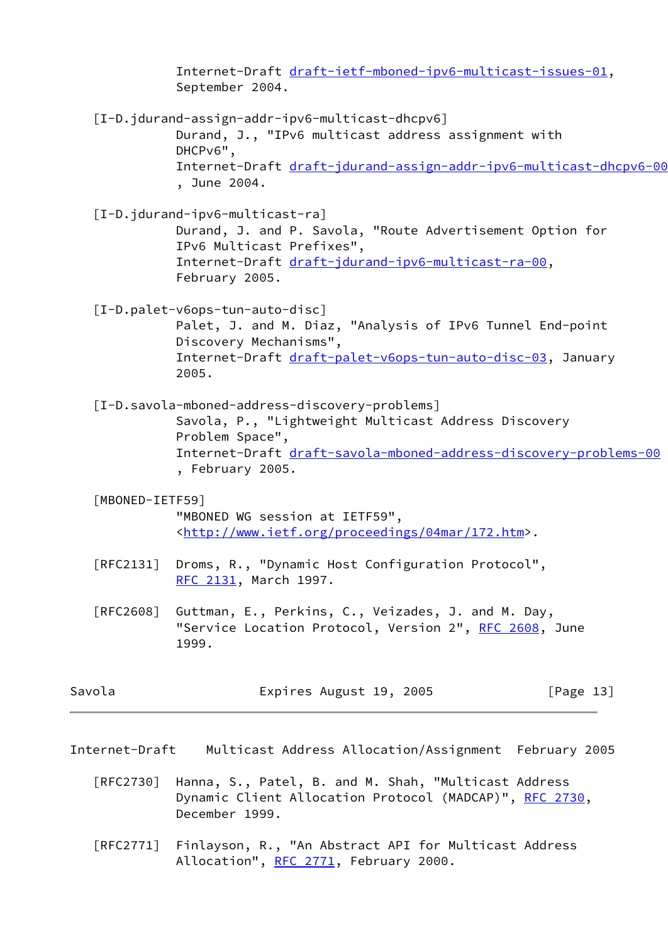<span id="page-13-5"></span><span id="page-13-3"></span><span id="page-13-1"></span> Internet-Draft [draft-ietf-mboned-ipv6-multicast-issues-01,](https://datatracker.ietf.org/doc/pdf/draft-ietf-mboned-ipv6-multicast-issues-01) September 2004. [I-D.jdurand-assign-addr-ipv6-multicast-dhcpv6] Durand, J., "IPv6 multicast address assignment with DHCPv6", Internet-Draft [draft-jdurand-assign-addr-ipv6-multicast-dhcpv6-00](https://datatracker.ietf.org/doc/pdf/draft-jdurand-assign-addr-ipv6-multicast-dhcpv6-00) , June 2004. [I-D.jdurand-ipv6-multicast-ra] Durand, J. and P. Savola, "Route Advertisement Option for IPv6 Multicast Prefixes", Internet-Draft [draft-jdurand-ipv6-multicast-ra-00,](https://datatracker.ietf.org/doc/pdf/draft-jdurand-ipv6-multicast-ra-00) February 2005. [I-D.palet-v6ops-tun-auto-disc] Palet, J. and M. Diaz, "Analysis of IPv6 Tunnel End-point Discovery Mechanisms", Internet-Draft [draft-palet-v6ops-tun-auto-disc-03,](https://datatracker.ietf.org/doc/pdf/draft-palet-v6ops-tun-auto-disc-03) January 2005. [I-D.savola-mboned-address-discovery-problems] Savola, P., "Lightweight Multicast Address Discovery Problem Space", Internet-Draft [draft-savola-mboned-address-discovery-problems-00](https://datatracker.ietf.org/doc/pdf/draft-savola-mboned-address-discovery-problems-00) , February 2005. [MBONED-IETF59] "MBONED WG session at IETF59", <[http://www.ietf.org/proceedings/04mar/172.htm>](http://www.ietf.org/proceedings/04mar/172.htm). [RFC2131] Droms, R., "Dynamic Host Configuration Protocol", [RFC 2131,](https://datatracker.ietf.org/doc/pdf/rfc2131) March 1997. [RFC2608] Guttman, E., Perkins, C., Veizades, J. and M. Day, "Service Location Protocol, Version 2", [RFC 2608,](https://datatracker.ietf.org/doc/pdf/rfc2608) June 1999.

<span id="page-13-0"></span>

<span id="page-13-4"></span><span id="page-13-2"></span>Savola Expires August 19, 2005 [Page 13]

Internet-Draft Multicast Address Allocation/Assignment February 2005

- [RFC2730] Hanna, S., Patel, B. and M. Shah, "Multicast Address Dynamic Client Allocation Protocol (MADCAP)", [RFC 2730](https://datatracker.ietf.org/doc/pdf/rfc2730), December 1999.
- [RFC2771] Finlayson, R., "An Abstract API for Multicast Address Allocation", [RFC 2771](https://datatracker.ietf.org/doc/pdf/rfc2771), February 2000.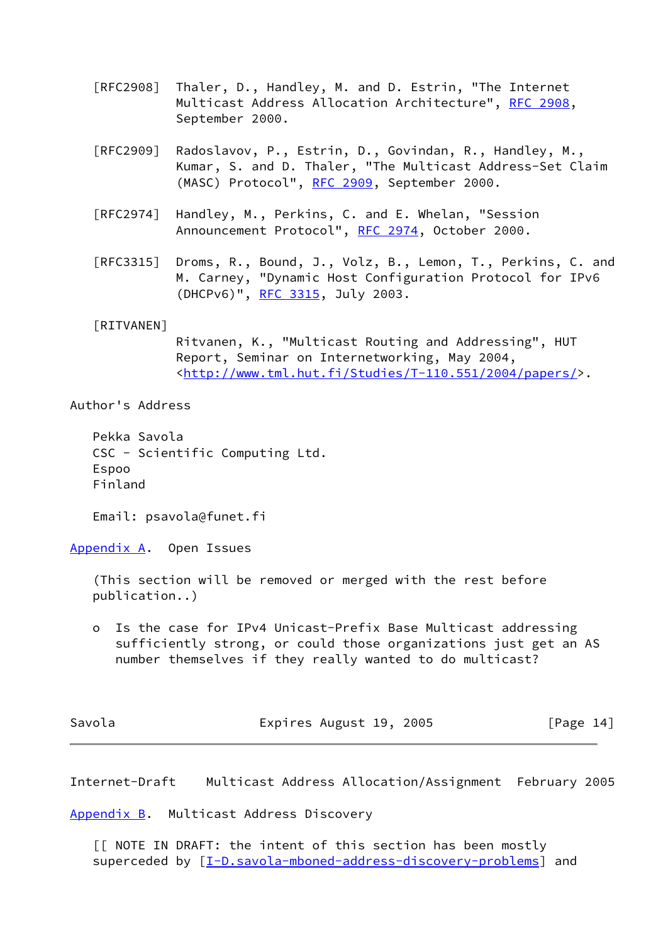- [RFC2908] Thaler, D., Handley, M. and D. Estrin, "The Internet Multicast Address Allocation Architecture", [RFC 2908,](https://datatracker.ietf.org/doc/pdf/rfc2908) September 2000.
- [RFC2909] Radoslavov, P., Estrin, D., Govindan, R., Handley, M., Kumar, S. and D. Thaler, "The Multicast Address-Set Claim (MASC) Protocol", [RFC 2909](https://datatracker.ietf.org/doc/pdf/rfc2909), September 2000.
- [RFC2974] Handley, M., Perkins, C. and E. Whelan, "Session Announcement Protocol", [RFC 2974,](https://datatracker.ietf.org/doc/pdf/rfc2974) October 2000.
- [RFC3315] Droms, R., Bound, J., Volz, B., Lemon, T., Perkins, C. and M. Carney, "Dynamic Host Configuration Protocol for IPv6 (DHCPv6)", [RFC 3315](https://datatracker.ietf.org/doc/pdf/rfc3315), July 2003.

### <span id="page-14-3"></span>[RITVANEN]

 Ritvanen, K., "Multicast Routing and Addressing", HUT Report, Seminar on Internetworking, May 2004, <[http://www.tml.hut.fi/Studies/T-110.551/2004/papers/>](http://www.tml.hut.fi/Studies/T-110.551/2004/papers/).

Author's Address

 Pekka Savola CSC - Scientific Computing Ltd. Espoo Finland

Email: psavola@funet.fi

<span id="page-14-0"></span>[Appendix A.](#page-14-0) Open Issues

 (This section will be removed or merged with the rest before publication..)

 o Is the case for IPv4 Unicast-Prefix Base Multicast addressing sufficiently strong, or could those organizations just get an AS number themselves if they really wanted to do multicast?

Savola **Expires August 19, 2005** [Page 14]

<span id="page-14-2"></span>Internet-Draft Multicast Address Allocation/Assignment February 2005

<span id="page-14-1"></span>[Appendix B.](#page-14-1) Multicast Address Discovery

 [[ NOTE IN DRAFT: the intent of this section has been mostly superceded by  $[\underline{I-D.savola-mbond-address-discovery-problems}]$  and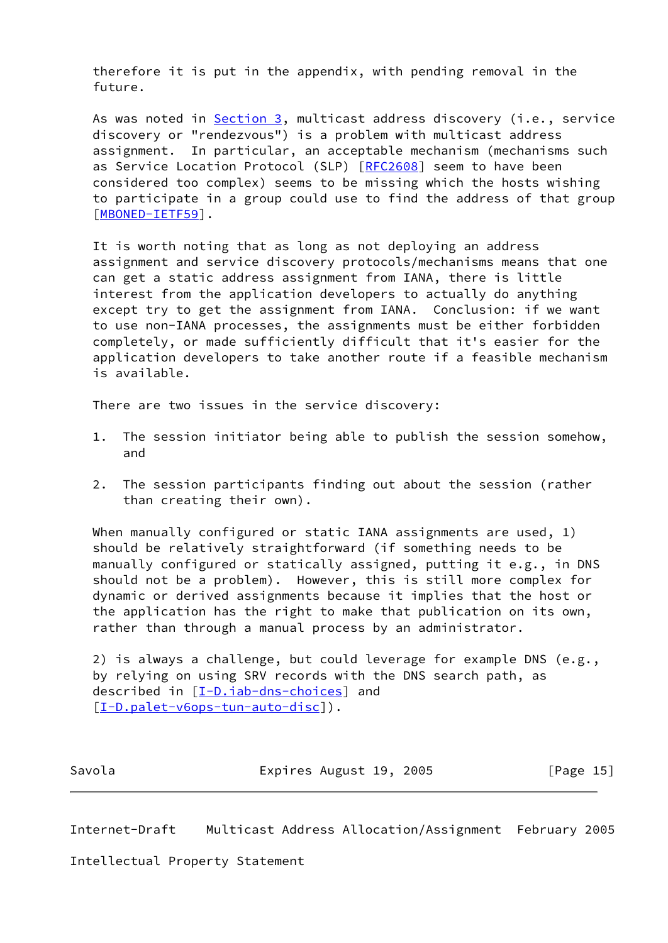therefore it is put in the appendix, with pending removal in the future.

As was noted in **Section 3**, multicast address discovery (i.e., service discovery or "rendezvous") is a problem with multicast address assignment. In particular, an acceptable mechanism (mechanisms such as Service Location Protocol (SLP) [[RFC2608\]](https://datatracker.ietf.org/doc/pdf/rfc2608) seem to have been considered too complex) seems to be missing which the hosts wishing to participate in a group could use to find the address of that group [\[MBONED-IETF59](#page-13-4)].

 It is worth noting that as long as not deploying an address assignment and service discovery protocols/mechanisms means that one can get a static address assignment from IANA, there is little interest from the application developers to actually do anything except try to get the assignment from IANA. Conclusion: if we want to use non-IANA processes, the assignments must be either forbidden completely, or made sufficiently difficult that it's easier for the application developers to take another route if a feasible mechanism is available.

There are two issues in the service discovery:

- 1. The session initiator being able to publish the session somehow, and
- 2. The session participants finding out about the session (rather than creating their own).

When manually configured or static IANA assignments are used, 1) should be relatively straightforward (if something needs to be manually configured or statically assigned, putting it e.g., in DNS should not be a problem). However, this is still more complex for dynamic or derived assignments because it implies that the host or the application has the right to make that publication on its own, rather than through a manual process by an administrator.

 2) is always a challenge, but could leverage for example DNS (e.g., by relying on using SRV records with the DNS search path, as described in  $[I-D.iab-dns-choice]$  and [\[I-D.palet-v6ops-tun-auto-disc](#page-13-5)]).

| Savola | Expires August 19, 2005 | [Page 15] |
|--------|-------------------------|-----------|
|--------|-------------------------|-----------|

<span id="page-15-0"></span>Internet-Draft Multicast Address Allocation/Assignment February 2005

Intellectual Property Statement